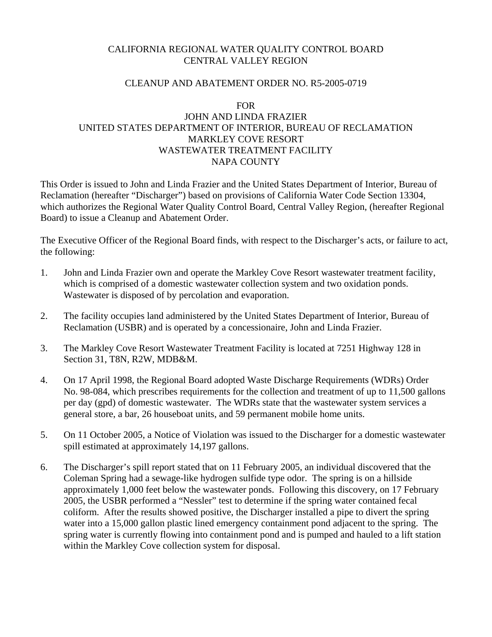# CALIFORNIA REGIONAL WATER QUALITY CONTROL BOARD CENTRAL VALLEY REGION

### CLEANUP AND ABATEMENT ORDER NO. R5-2005-0719

#### FOR

# JOHN AND LINDA FRAZIER UNITED STATES DEPARTMENT OF INTERIOR, BUREAU OF RECLAMATION MARKLEY COVE RESORT WASTEWATER TREATMENT FACILITY NAPA COUNTY

This Order is issued to John and Linda Frazier and the United States Department of Interior, Bureau of Reclamation (hereafter "Discharger") based on provisions of California Water Code Section 13304, which authorizes the Regional Water Quality Control Board, Central Valley Region, (hereafter Regional Board) to issue a Cleanup and Abatement Order.

The Executive Officer of the Regional Board finds, with respect to the Discharger's acts, or failure to act, the following:

- 1. John and Linda Frazier own and operate the Markley Cove Resort wastewater treatment facility, which is comprised of a domestic wastewater collection system and two oxidation ponds. Wastewater is disposed of by percolation and evaporation.
- 2. The facility occupies land administered by the United States Department of Interior, Bureau of Reclamation (USBR) and is operated by a concessionaire, John and Linda Frazier.
- 3. The Markley Cove Resort Wastewater Treatment Facility is located at 7251 Highway 128 in Section 31, T8N, R2W, MDB&M.
- 4. On 17 April 1998, the Regional Board adopted Waste Discharge Requirements (WDRs) Order No. 98-084, which prescribes requirements for the collection and treatment of up to 11,500 gallons per day (gpd) of domestic wastewater. The WDRs state that the wastewater system services a general store, a bar, 26 houseboat units, and 59 permanent mobile home units.
- 5. On 11 October 2005, a Notice of Violation was issued to the Discharger for a domestic wastewater spill estimated at approximately 14,197 gallons.
- 6. The Discharger's spill report stated that on 11 February 2005, an individual discovered that the Coleman Spring had a sewage-like hydrogen sulfide type odor. The spring is on a hillside approximately 1,000 feet below the wastewater ponds. Following this discovery, on 17 February 2005, the USBR performed a "Nessler" test to determine if the spring water contained fecal coliform. After the results showed positive, the Discharger installed a pipe to divert the spring water into a 15,000 gallon plastic lined emergency containment pond adjacent to the spring. The spring water is currently flowing into containment pond and is pumped and hauled to a lift station within the Markley Cove collection system for disposal.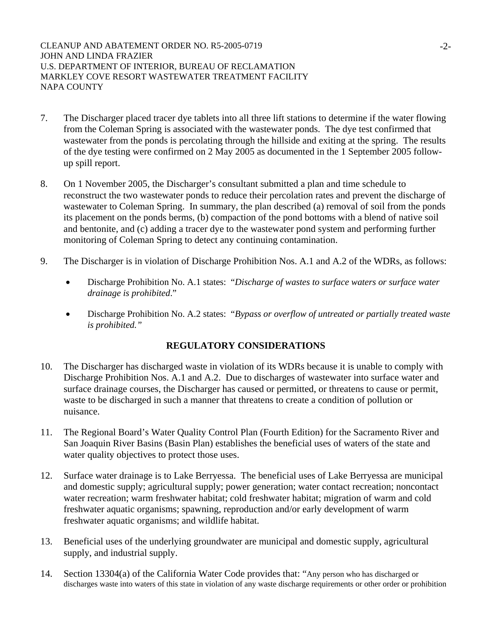- 7. The Discharger placed tracer dye tablets into all three lift stations to determine if the water flowing from the Coleman Spring is associated with the wastewater ponds. The dye test confirmed that wastewater from the ponds is percolating through the hillside and exiting at the spring. The results of the dye testing were confirmed on 2 May 2005 as documented in the 1 September 2005 followup spill report.
- 8. On 1 November 2005, the Discharger's consultant submitted a plan and time schedule to reconstruct the two wastewater ponds to reduce their percolation rates and prevent the discharge of wastewater to Coleman Spring. In summary, the plan described (a) removal of soil from the ponds its placement on the ponds berms, (b) compaction of the pond bottoms with a blend of native soil and bentonite, and (c) adding a tracer dye to the wastewater pond system and performing further monitoring of Coleman Spring to detect any continuing contamination.
- 9. The Discharger is in violation of Discharge Prohibition Nos. A.1 and A.2 of the WDRs, as follows:
	- Discharge Prohibition No. A.1 states: "*Discharge of wastes to surface waters or surface water drainage is prohibited*."
	- Discharge Prohibition No. A.2 states: "*Bypass or overflow of untreated or partially treated waste is prohibited."*

# **REGULATORY CONSIDERATIONS**

- 10. The Discharger has discharged waste in violation of its WDRs because it is unable to comply with Discharge Prohibition Nos. A.1 and A.2. Due to discharges of wastewater into surface water and surface drainage courses, the Discharger has caused or permitted, or threatens to cause or permit, waste to be discharged in such a manner that threatens to create a condition of pollution or nuisance.
- 11. The Regional Board's Water Quality Control Plan (Fourth Edition) for the Sacramento River and San Joaquin River Basins (Basin Plan) establishes the beneficial uses of waters of the state and water quality objectives to protect those uses.
- 12. Surface water drainage is to Lake Berryessa. The beneficial uses of Lake Berryessa are municipal and domestic supply; agricultural supply; power generation; water contact recreation; noncontact water recreation; warm freshwater habitat; cold freshwater habitat; migration of warm and cold freshwater aquatic organisms; spawning, reproduction and/or early development of warm freshwater aquatic organisms; and wildlife habitat.
- 13. Beneficial uses of the underlying groundwater are municipal and domestic supply, agricultural supply, and industrial supply.
- 14. Section 13304(a) of the California Water Code provides that: "Any person who has discharged or discharges waste into waters of this state in violation of any waste discharge requirements or other order or prohibition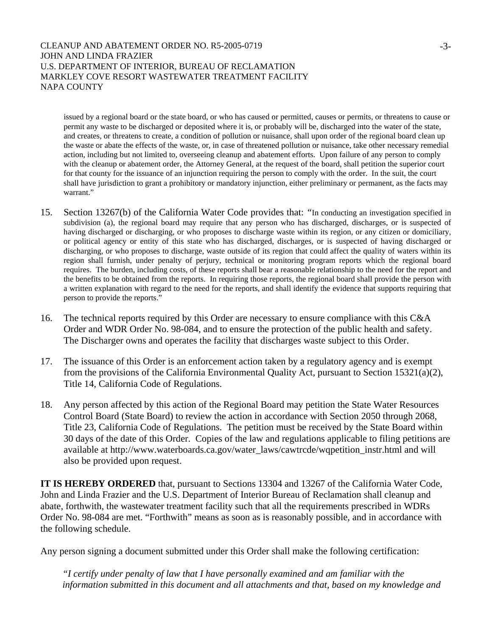issued by a regional board or the state board, or who has caused or permitted, causes or permits, or threatens to cause or permit any waste to be discharged or deposited where it is, or probably will be, discharged into the water of the state, and creates, or threatens to create, a condition of pollution or nuisance, shall upon order of the regional board clean up the waste or abate the effects of the waste, or, in case of threatened pollution or nuisance, take other necessary remedial action, including but not limited to, overseeing cleanup and abatement efforts. Upon failure of any person to comply with the cleanup or abatement order, the Attorney General, at the request of the board, shall petition the superior court for that county for the issuance of an injunction requiring the person to comply with the order. In the suit, the court shall have jurisdiction to grant a prohibitory or mandatory injunction, either preliminary or permanent, as the facts may warrant"

- 15. Section 13267(b) of the California Water Code provides that: *"*In conducting an investigation specified in subdivision (a), the regional board may require that any person who has discharged, discharges, or is suspected of having discharged or discharging, or who proposes to discharge waste within its region, or any citizen or domiciliary, or political agency or entity of this state who has discharged, discharges, or is suspected of having discharged or discharging, or who proposes to discharge, waste outside of its region that could affect the quality of waters within its region shall furnish, under penalty of perjury, technical or monitoring program reports which the regional board requires. The burden, including costs, of these reports shall bear a reasonable relationship to the need for the report and the benefits to be obtained from the reports. In requiring those reports, the regional board shall provide the person with a written explanation with regard to the need for the reports, and shall identify the evidence that supports requiring that person to provide the reports."
- 16. The technical reports required by this Order are necessary to ensure compliance with this C&A Order and WDR Order No. 98-084, and to ensure the protection of the public health and safety. The Discharger owns and operates the facility that discharges waste subject to this Order.
- 17. The issuance of this Order is an enforcement action taken by a regulatory agency and is exempt from the provisions of the California Environmental Quality Act, pursuant to Section 15321(a)(2), Title 14, California Code of Regulations.
- 18. Any person affected by this action of the Regional Board may petition the State Water Resources Control Board (State Board) to review the action in accordance with Section 2050 through 2068, Title 23, California Code of Regulations. The petition must be received by the State Board within 30 days of the date of this Order. Copies of the law and regulations applicable to filing petitions are available at http://www.waterboards.ca.gov/water\_laws/cawtrcde/wqpetition\_instr.html and will also be provided upon request.

**IT IS HEREBY ORDERED** that, pursuant to Sections 13304 and 13267 of the California Water Code, John and Linda Frazier and the U.S. Department of Interior Bureau of Reclamation shall cleanup and abate, forthwith, the wastewater treatment facility such that all the requirements prescribed in WDRs Order No. 98-084 are met. "Forthwith" means as soon as is reasonably possible, and in accordance with the following schedule.

Any person signing a document submitted under this Order shall make the following certification:

*"I certify under penalty of law that I have personally examined and am familiar with the information submitted in this document and all attachments and that, based on my knowledge and*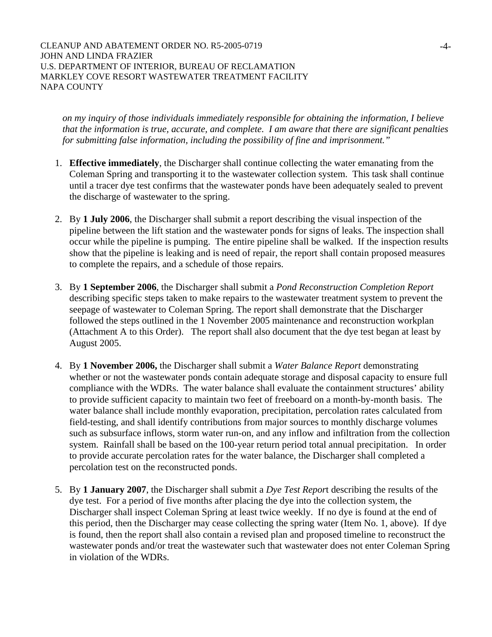*on my inquiry of those individuals immediately responsible for obtaining the information, I believe that the information is true, accurate, and complete. I am aware that there are significant penalties for submitting false information, including the possibility of fine and imprisonment."* 

- 1. **Effective immediately**, the Discharger shall continue collecting the water emanating from the Coleman Spring and transporting it to the wastewater collection system. This task shall continue until a tracer dye test confirms that the wastewater ponds have been adequately sealed to prevent the discharge of wastewater to the spring.
- 2. By **1 July 2006**, the Discharger shall submit a report describing the visual inspection of the pipeline between the lift station and the wastewater ponds for signs of leaks. The inspection shall occur while the pipeline is pumping. The entire pipeline shall be walked. If the inspection results show that the pipeline is leaking and is need of repair, the report shall contain proposed measures to complete the repairs, and a schedule of those repairs.
- 3. By **1 September 2006**, the Discharger shall submit a *Pond Reconstruction Completion Report* describing specific steps taken to make repairs to the wastewater treatment system to prevent the seepage of wastewater to Coleman Spring. The report shall demonstrate that the Discharger followed the steps outlined in the 1 November 2005 maintenance and reconstruction workplan (Attachment A to this Order). The report shall also document that the dye test began at least by August 2005.
- 4. By **1 November 2006,** the Discharger shall submit a *Water Balance Report* demonstrating whether or not the wastewater ponds contain adequate storage and disposal capacity to ensure full compliance with the WDRs. The water balance shall evaluate the containment structures' ability to provide sufficient capacity to maintain two feet of freeboard on a month-by-month basis. The water balance shall include monthly evaporation, precipitation, percolation rates calculated from field-testing, and shall identify contributions from major sources to monthly discharge volumes such as subsurface inflows, storm water run-on, and any inflow and infiltration from the collection system. Rainfall shall be based on the 100-year return period total annual precipitation. In order to provide accurate percolation rates for the water balance, the Discharger shall completed a percolation test on the reconstructed ponds.
- 5. By **1 January 2007**, the Discharger shall submit a *Dye Test Repor*t describing the results of the dye test. For a period of five months after placing the dye into the collection system, the Discharger shall inspect Coleman Spring at least twice weekly. If no dye is found at the end of this period, then the Discharger may cease collecting the spring water (Item No. 1, above). If dye is found, then the report shall also contain a revised plan and proposed timeline to reconstruct the wastewater ponds and/or treat the wastewater such that wastewater does not enter Coleman Spring in violation of the WDRs.